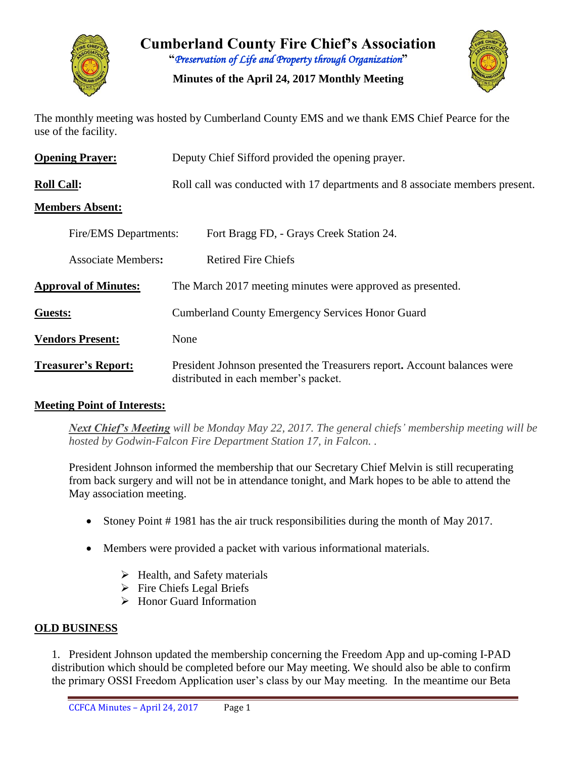

**Cumberland County Fire Chief's Association "***Preservation of Life and Property through Organization***"**

**Minutes of the April 24, 2017 Monthly Meeting**



The monthly meeting was hosted by Cumberland County EMS and we thank EMS Chief Pearce for the use of the facility.

| <b>Opening Prayer:</b>      | Deputy Chief Sifford provided the opening prayer.                                                                |  |  |  |  |  |  |  |  |  |
|-----------------------------|------------------------------------------------------------------------------------------------------------------|--|--|--|--|--|--|--|--|--|
| <b>Roll Call:</b>           | Roll call was conducted with 17 departments and 8 associate members present.                                     |  |  |  |  |  |  |  |  |  |
| <b>Members Absent:</b>      |                                                                                                                  |  |  |  |  |  |  |  |  |  |
| Fire/EMS Departments:       | Fort Bragg FD, - Grays Creek Station 24.                                                                         |  |  |  |  |  |  |  |  |  |
| <b>Associate Members:</b>   | <b>Retired Fire Chiefs</b>                                                                                       |  |  |  |  |  |  |  |  |  |
| <b>Approval of Minutes:</b> | The March 2017 meeting minutes were approved as presented.                                                       |  |  |  |  |  |  |  |  |  |
| Guests:                     | <b>Cumberland County Emergency Services Honor Guard</b>                                                          |  |  |  |  |  |  |  |  |  |
| <b>Vendors Present:</b>     | None                                                                                                             |  |  |  |  |  |  |  |  |  |
| <b>Treasurer's Report:</b>  | President Johnson presented the Treasurers report. Account balances were<br>distributed in each member's packet. |  |  |  |  |  |  |  |  |  |

### **Meeting Point of Interests:**

*Next Chief's Meeting will be Monday May 22, 2017. The general chiefs' membership meeting will be hosted by Godwin-Falcon Fire Department Station 17, in Falcon. .* 

President Johnson informed the membership that our Secretary Chief Melvin is still recuperating from back surgery and will not be in attendance tonight, and Mark hopes to be able to attend the May association meeting.

- Stoney Point # 1981 has the air truck responsibilities during the month of May 2017.
- Members were provided a packet with various informational materials.
	- $\blacktriangleright$  Health, and Safety materials
	- $\triangleright$  Fire Chiefs Legal Briefs
	- $\triangleright$  Honor Guard Information

### **OLD BUSINESS**

1. President Johnson updated the membership concerning the Freedom App and up-coming I-PAD distribution which should be completed before our May meeting. We should also be able to confirm the primary OSSI Freedom Application user's class by our May meeting. In the meantime our Beta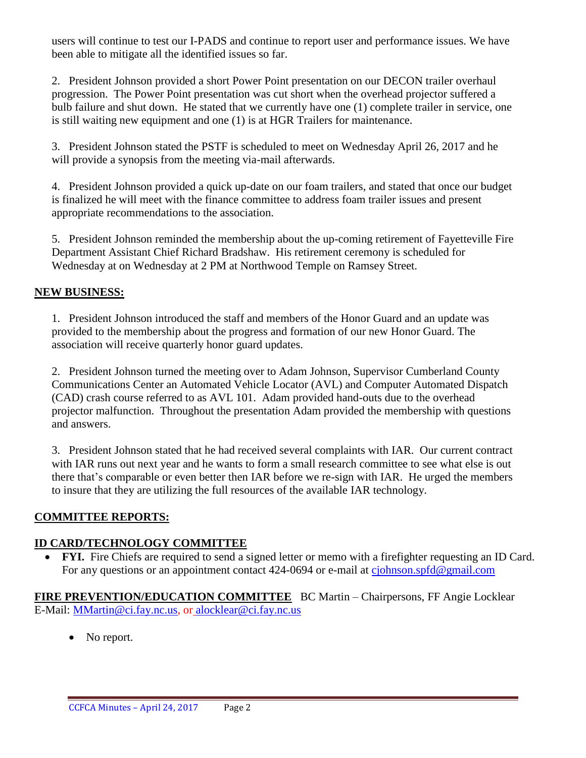users will continue to test our I-PADS and continue to report user and performance issues. We have been able to mitigate all the identified issues so far.

2. President Johnson provided a short Power Point presentation on our DECON trailer overhaul progression. The Power Point presentation was cut short when the overhead projector suffered a bulb failure and shut down. He stated that we currently have one (1) complete trailer in service, one is still waiting new equipment and one (1) is at HGR Trailers for maintenance.

3. President Johnson stated the PSTF is scheduled to meet on Wednesday April 26, 2017 and he will provide a synopsis from the meeting via-mail afterwards.

4. President Johnson provided a quick up-date on our foam trailers, and stated that once our budget is finalized he will meet with the finance committee to address foam trailer issues and present appropriate recommendations to the association.

5. President Johnson reminded the membership about the up-coming retirement of Fayetteville Fire Department Assistant Chief Richard Bradshaw. His retirement ceremony is scheduled for Wednesday at on Wednesday at 2 PM at Northwood Temple on Ramsey Street.

# **NEW BUSINESS:**

1. President Johnson introduced the staff and members of the Honor Guard and an update was provided to the membership about the progress and formation of our new Honor Guard. The association will receive quarterly honor guard updates.

2. President Johnson turned the meeting over to Adam Johnson, Supervisor Cumberland County Communications Center an Automated Vehicle Locator (AVL) and Computer Automated Dispatch (CAD) crash course referred to as AVL 101. Adam provided hand-outs due to the overhead projector malfunction. Throughout the presentation Adam provided the membership with questions and answers.

3. President Johnson stated that he had received several complaints with IAR. Our current contract with IAR runs out next year and he wants to form a small research committee to see what else is out there that's comparable or even better then IAR before we re-sign with IAR. He urged the members to insure that they are utilizing the full resources of the available IAR technology.

# **COMMITTEE REPORTS:**

# **ID CARD/TECHNOLOGY COMMITTEE**

• FYI. Fire Chiefs are required to send a signed letter or memo with a firefighter requesting an ID Card. For any questions or an appointment contact 424-0694 or e-mail at [cjohnson.spfd@gmail.com](mailto:cjohnson.spfd@gmail.com)

**FIRE PREVENTION/EDUCATION COMMITTEE** BC Martin – Chairpersons, FF Angie Locklear E-Mail: [MMartin@ci.fay.nc.us,](mailto:MMartin@ci.fay.nc.us) or [alocklear@ci.fay.nc.us](mailto:alocklear@ci.fay.nc.us)

• No report.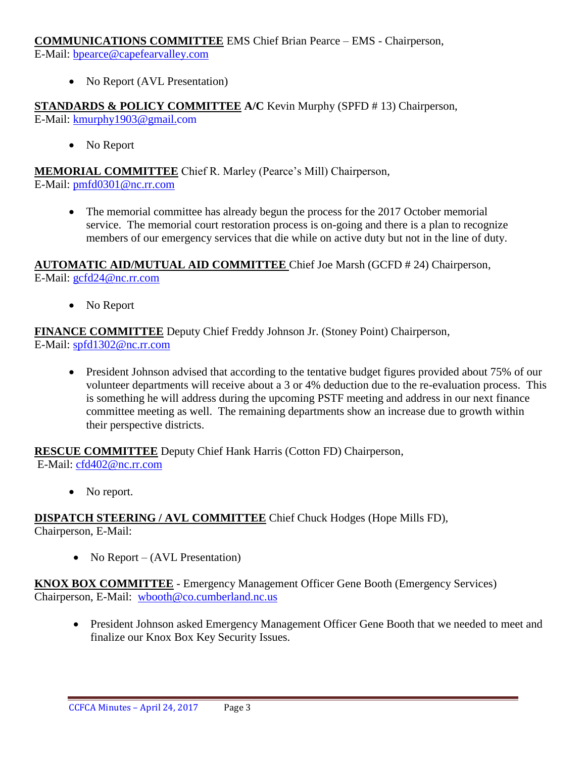**COMMUNICATIONS COMMITTEE** EMS Chief Brian Pearce – EMS - Chairperson,

E-Mail: [bpearce@capefearvalley.com](mailto:bpearce@capefearvalley.com)

• No Report (AVL Presentation)

**STANDARDS & POLICY COMMITTEE A/C** Kevin Murphy (SPFD # 13) Chairperson, E-Mail: [kmurphy1903@gmail.com](mailto:kmurphy1903@gmail.com)

• No Report

**MEMORIAL COMMITTEE** Chief R. Marley (Pearce's Mill) Chairperson, E-Mail: [pmfd0301@nc.rr.com](mailto:pmfd0301@nc.rr.com)

• The memorial committee has already begun the process for the 2017 October memorial service. The memorial court restoration process is on-going and there is a plan to recognize members of our emergency services that die while on active duty but not in the line of duty.

**AUTOMATIC AID/MUTUAL AID COMMITTEE** Chief Joe Marsh (GCFD # 24) Chairperson, E-Mail: [gcfd24@nc.rr.com](mailto:gcfd24@nc.rr.com)

• No Report

**FINANCE COMMITTEE** Deputy Chief Freddy Johnson Jr. (Stoney Point) Chairperson, E-Mail: [spfd1302@nc.rr.com](mailto:spfd1302@nc.rr.com)

• President Johnson advised that according to the tentative budget figures provided about 75% of our volunteer departments will receive about a 3 or 4% deduction due to the re-evaluation process. This is something he will address during the upcoming PSTF meeting and address in our next finance committee meeting as well. The remaining departments show an increase due to growth within their perspective districts.

**RESCUE COMMITTEE** Deputy Chief Hank Harris (Cotton FD) Chairperson, E-Mail: [cfd402@nc.rr.com](mailto:cfd402@nc.rr.com)

• No report.

**DISPATCH STEERING / AVL COMMITTEE** Chief Chuck Hodges (Hope Mills FD), Chairperson, E-Mail:

• No Report –  $(AVL$  Presentation)

**KNOX BOX COMMITTEE** - Emergency Management Officer Gene Booth (Emergency Services) Chairperson, E-Mail: [wbooth@co.cumberland.nc.us](mailto:wbooth@co.cumberland.nc.us)

 President Johnson asked Emergency Management Officer Gene Booth that we needed to meet and finalize our Knox Box Key Security Issues.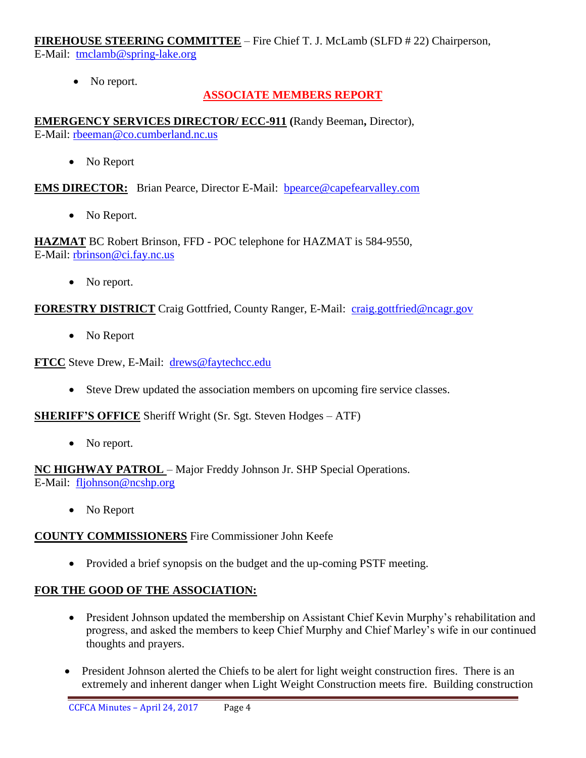**FIREHOUSE STEERING COMMITTEE** – Fire Chief T. J. McLamb (SLFD # 22) Chairperson, E-Mail: [tmclamb@spring-lake.org](mailto:tmclamb@spring-lake.org)

• No report.

# **ASSOCIATE MEMBERS REPORT**

**EMERGENCY SERVICES DIRECTOR/ ECC-911 (**Randy Beeman**,** Director), E-Mail: [rbeeman@co.cumberland.nc.us](mailto:rbeeman@co.cumberland.nc.us)

• No Report

**EMS DIRECTOR:** Brian Pearce, Director E-Mail: bpearce@capefearvalley.com

• No Report.

**HAZMAT** BC Robert Brinson, FFD - POC telephone for HAZMAT is 584-9550, E-Mail: [rbrinson@ci.fay.nc.us](mailto:rbrinson@ci.fay.nc.us)

• No report.

## **FORESTRY DISTRICT** Craig Gottfried, County Ranger, E-Mail: [craig.gottfried@ncagr.gov](mailto:craig.gottfried@ncagr.gov)

• No Report

**FTCC** Steve Drew, E-Mail: [drews@faytechcc.edu](mailto:drews@faytechcc.edu)

Steve Drew updated the association members on upcoming fire service classes.

**SHERIFF'S OFFICE** Sheriff Wright (Sr. Sgt. Steven Hodges – ATF)

• No report.

**NC HIGHWAY PATROL** – Major Freddy Johnson Jr. SHP Special Operations. E-Mail: [fljohnson@ncshp.org](mailto:fljohnson@ncshp.org)

• No Report

### **COUNTY COMMISSIONERS** Fire Commissioner John Keefe

• Provided a brief synopsis on the budget and the up-coming PSTF meeting.

# **FOR THE GOOD OF THE ASSOCIATION:**

- President Johnson updated the membership on Assistant Chief Kevin Murphy's rehabilitation and progress, and asked the members to keep Chief Murphy and Chief Marley's wife in our continued thoughts and prayers.
- President Johnson alerted the Chiefs to be alert for light weight construction fires. There is an extremely and inherent danger when Light Weight Construction meets fire. Building construction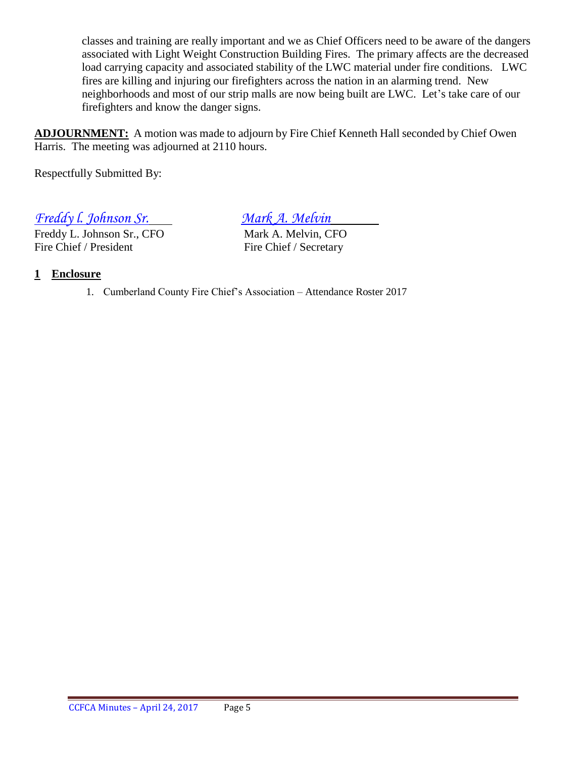classes and training are really important and we as Chief Officers need to be aware of the dangers associated with Light Weight Construction Building Fires. The primary affects are the decreased load carrying capacity and associated stability of the LWC material under fire conditions. LWC fires are killing and injuring our firefighters across the nation in an alarming trend. New neighborhoods and most of our strip malls are now being built are LWC. Let's take care of our firefighters and know the danger signs.

**ADJOURNMENT:** A motion was made to adjourn by Fire Chief Kenneth Hall seconded by Chief Owen Harris. The meeting was adjourned at 2110 hours.

Respectfully Submitted By:

*Freddy I. Johnson Sr.*<br> *Freddy L. Johnson Sr., CFO Mark A. Melvin, CFO* 

Freddy L. Johnson Sr., CFO Fire Chief / President Fire Chief / Secretary

# **1 Enclosure**

1. Cumberland County Fire Chief's Association – Attendance Roster 2017